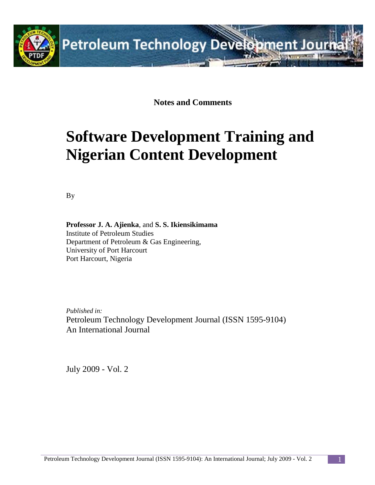

**Notes and Comments**

# **Software Development Training and Nigerian Content Development**

By

**Professor J. A. Ajienka**, and **S. S. Ikiensikimama** Institute of Petroleum Studies Department of Petroleum & Gas Engineering, University of Port Harcourt Port Harcourt, Nigeria

*Published in:* Petroleum Technology Development Journal (ISSN 1595-9104) An International Journal

July 2009 - Vol. 2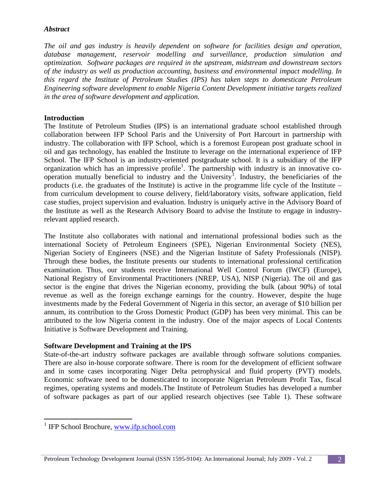#### *Abstract*

*The oil and gas industry is heavily dependent on software for facilities design and operation, database management, reservoir modelling and surveillance, production simulation and optimization. Software packages are required in the upstream, midstream and downstream sectors of the industry as well as production accounting, business and environmental impact modelling. In this regard the Institute of Petroleum Studies (IPS) has taken steps to domesticate Petroleum Engineering software development to enable Nigeria Content Development initiative targets realized in the area of software development and application.*

### **Introduction**

The Institute of Petroleum Studies (IPS) is an international graduate school established through collaboration between IFP School Paris and the University of Port Harcourt in partnership with industry. The collaboration with IFP School, which is a foremost European post graduate school in oil and gas technology, has enabled the Institute to leverage on the international experience of IFP School. The IFP School is an industry-oriented postgraduate school. It is a subsidiary of the IFP organization which has an impressive profile<sup>1</sup>. The partnership with industry is an innovative co-operation mutually beneficial to industry and the University<sup>[1](#page-1-0)</sup>. Industry, the beneficiaries of the products (i.e. the graduates of the Institute) is active in the programme life cycle of the Institute – from curriculum development to course delivery, field/laboratory visits, software application, field case studies, project supervision and evaluation. Industry is uniquely active in the Advisory Board of the Institute as well as the Research Advisory Board to advise the Institute to engage in industryrelevant applied research.

The Institute also collaborates with national and international professional bodies such as the international Society of Petroleum Engineers (SPE), Nigerian Environmental Society (NES), Nigerian Society of Engineers (NSE) and the Nigerian Institute of Safety Professionals (NISP). Through these bodies, the Institute presents our students to international professional certification examination. Thus, our students receive International Well Control Forum (IWCF) (Europe), National Registry of Environmental Practitioners (NREP, USA), NISP (Nigeria). The oil and gas sector is the engine that drives the Nigerian economy, providing the bulk (about 90%) of total revenue as well as the foreign exchange earnings for the country. However, despite the huge investments made by the Federal Government of Nigeria in this sector, an average of \$10 billion per annum, its contribution to the Gross Domestic Product (GDP) has been very minimal. This can be attributed to the low Nigeria content in the industry. One of the major aspects of Local Contents Initiative is Software Development and Training.

#### **Software Development and Training at the IPS**

State-of-the-art industry software packages are available through software solutions companies. There are also in-house corporate software. There is room for the development of efficient software and in some cases incorporating Niger Delta petrophysical and fluid property (PVT) models. Economic software need to be domesticated to incorporate Nigerian Petroleum Profit Tax, fiscal regimes, operating systems and models.The Institute of Petroleum Studies has developed a number of software packages as part of our applied research objectives (see Table 1). These software

<span id="page-1-0"></span><sup>&</sup>lt;sup>1</sup> IFP School Brochure, [www.ifp.school.com](http://www.ifp.school.com/)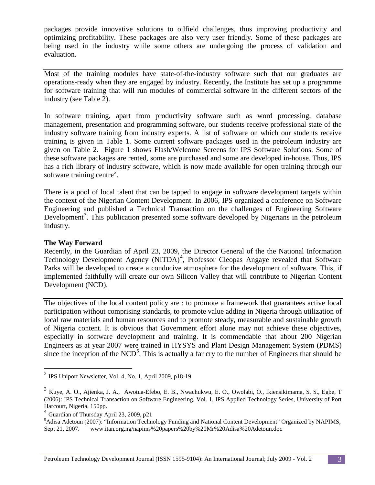packages provide innovative solutions to oilfield challenges, thus improving productivity and optimizing profitability. These packages are also very user friendly. Some of these packages are being used in the industry while some others are undergoing the process of validation and evaluation.

Most of the training modules have state-of-the-industry software such that our graduates are operations-ready when they are engaged by industry. Recently, the Institute has set up a programme for software training that will run modules of commercial software in the different sectors of the industry (see Table 2).

In software training, apart from productivity software such as word processing, database management, presentation and programming software, our students receive professional state of the industry software training from industry experts. A list of software on which our students receive training is given in Table 1. Some current software packages used in the petroleum industry are given on Table 2. Figure 1 shows Flash/Welcome Screens for IPS Software Solutions. Some of these software packages are rented, some are purchased and some are developed in-house. Thus, IPS has a rich library of industry software, which is now made available for open training through our software training centre<sup>[2](#page-2-0)</sup>.

There is a pool of local talent that can be tapped to engage in software development targets within the context of the Nigerian Content Development. In 2006, IPS organized a conference on Software Engineering and published a Technical Transaction on the challenges of Engineering Software Development<sup>[3](#page-2-1)</sup>. This publication presented some software developed by Nigerians in the petroleum industry.

#### **The Way Forward**

Recently, in the Guardian of April 23, 2009, the Director General of the the National Information Technology Development Agency (NITDA)<sup>[4](#page-2-2)</sup>, Professor Cleopas Angaye revealed that Software Parks will be developed to create a conducive atmosphere for the development of software. This, if implemented faithfully will create our own Silicon Valley that will contribute to Nigerian Content Development (NCD).

The objectives of the local content policy are : to promote a framework that guarantees active local participation without comprising standards, to promote value adding in Nigeria through utilization of local raw materials and human resources and to promote steady, measurable and sustainable growth of Nigeria content. It is obvious that Government effort alone may not achieve these objectives, especially in software development and training. It is commendable that about 200 Nigerian Engineers as at year 2007 were trained in HYSYS and Plant Design Management System (PDMS) since the inception of the  $NCD<sup>5</sup>$  $NCD<sup>5</sup>$  $NCD<sup>5</sup>$ . This is actually a far cry to the number of Engineers that should be

<span id="page-2-0"></span> <sup>2</sup> IPS Uniport Newsletter, Vol. 4, No. 1, April 2009, p18-19

<span id="page-2-1"></span><sup>3</sup> Kuye, A. O., Ajienka, J. A., Awotua-Efebo, E. B., Nwachukwu, E. O., Owolabi, O., Ikiensikimama, S. S., Egbe, T (2006): IPS Technical Transaction on Software Engineering, Vol. 1, IPS Applied Technology Series, University of Port Harcourt, Nigeria, 150pp.

<span id="page-2-2"></span><sup>4</sup> Guardian of Thursday April 23, 2009, p21

<span id="page-2-3"></span><sup>&</sup>lt;sup>5</sup>Adisa Adetoun (2007): "Information Technology Funding and National Content Development" Organized by NAPIMS, Sept 21, 2007. www.itan.org.ng/napims%20papers%20by%20Mr%20Adisa%20Adetoun.doc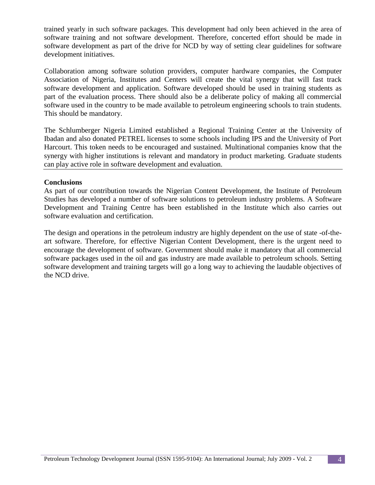trained yearly in such software packages. This development had only been achieved in the area of software training and not software development. Therefore, concerted effort should be made in software development as part of the drive for NCD by way of setting clear guidelines for software development initiatives.

Collaboration among software solution providers, computer hardware companies, the Computer Association of Nigeria, Institutes and Centers will create the vital synergy that will fast track software development and application. Software developed should be used in training students as part of the evaluation process. There should also be a deliberate policy of making all commercial software used in the country to be made available to petroleum engineering schools to train students. This should be mandatory.

The Schlumberger Nigeria Limited established a Regional Training Center at the University of Ibadan and also donated PETREL licenses to some schools including IPS and the University of Port Harcourt. This token needs to be encouraged and sustained. Multinational companies know that the synergy with higher institutions is relevant and mandatory in product marketing. Graduate students can play active role in software development and evaluation.

#### **Conclusions**

As part of our contribution towards the Nigerian Content Development, the Institute of Petroleum Studies has developed a number of software solutions to petroleum industry problems. A Software Development and Training Centre has been established in the Institute which also carries out software evaluation and certification.

The design and operations in the petroleum industry are highly dependent on the use of state -of-theart software. Therefore, for effective Nigerian Content Development, there is the urgent need to encourage the development of software. Government should make it mandatory that all commercial software packages used in the oil and gas industry are made available to petroleum schools. Setting software development and training targets will go a long way to achieving the laudable objectives of the NCD drive.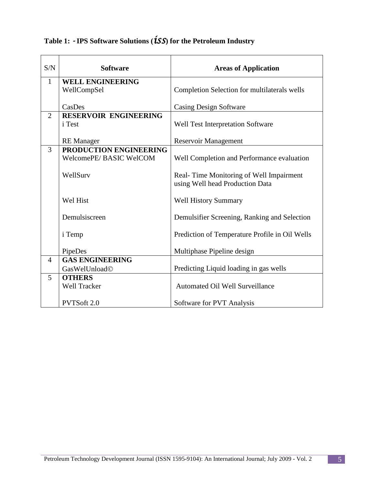| S/N            | <b>Software</b>              | <b>Areas of Application</b>                    |
|----------------|------------------------------|------------------------------------------------|
| 1              | <b>WELL ENGINEERING</b>      |                                                |
|                | WellCompSel                  | Completion Selection for multilaterals wells   |
|                |                              |                                                |
|                | CasDes                       | <b>Casing Design Software</b>                  |
| $\overline{2}$ | <b>RESERVOIR ENGINEERING</b> |                                                |
|                | i Test                       | Well Test Interpretation Software              |
|                | <b>RE</b> Manager            | <b>Reservoir Management</b>                    |
| 3              | PRODUCTION ENGINEERING       |                                                |
|                | WelcomePE/BASIC WelCOM       | Well Completion and Performance evaluation     |
|                |                              |                                                |
|                | WellSurv                     | Real-Time Monitoring of Well Impairment        |
|                |                              | using Well head Production Data                |
|                |                              |                                                |
|                | Wel Hist                     | <b>Well History Summary</b>                    |
|                |                              |                                                |
|                | Demulsiscreen                | Demulsifier Screening, Ranking and Selection   |
|                | i Temp                       | Prediction of Temperature Profile in Oil Wells |
|                |                              |                                                |
|                | PipeDes                      | Multiphase Pipeline design                     |
| $\overline{4}$ | <b>GAS ENGINEERING</b>       |                                                |
|                | GasWelUnload©                | Predicting Liquid loading in gas wells         |
| 5              | <b>OTHERS</b>                |                                                |
|                | <b>Well Tracker</b>          | <b>Automated Oil Well Surveillance</b>         |
|                |                              |                                                |
|                | <b>PVTSoft 2.0</b>           | Software for PVT Analysis                      |

## **Table 1:** *-* **IPS Software Solutions (***iss***) for the Petroleum Industry**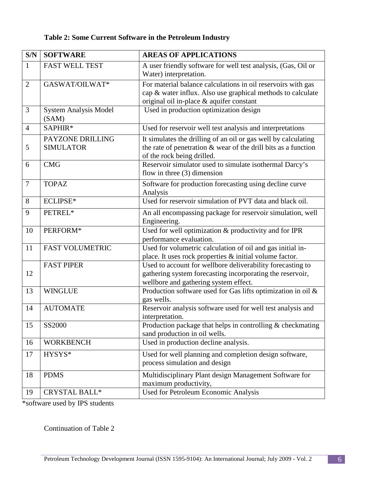### **Table 2: Some Current Software in the Petroleum Industry**

| S/N            | <b>SOFTWARE</b>                       | <b>AREAS OF APPLICATIONS</b>                                                                                                                                            |
|----------------|---------------------------------------|-------------------------------------------------------------------------------------------------------------------------------------------------------------------------|
| $\mathbf{1}$   | <b>FAST WELL TEST</b>                 | A user friendly software for well test analysis, (Gas, Oil or<br>Water) interpretation.                                                                                 |
| $\overline{2}$ | GASWAT/OILWAT*                        | For material balance calculations in oil reservoirs with gas<br>cap & water influx. Also use graphical methods to calculate<br>original oil in-place & aquifer constant |
| 3              | <b>System Analysis Model</b><br>(SAM) | Used in production optimization design                                                                                                                                  |
| $\overline{4}$ | SAPHIR*                               | Used for reservoir well test analysis and interpretations                                                                                                               |
| 5              | PAYZONE DRILLING<br><b>SIMULATOR</b>  | It simulates the drilling of an oil or gas well by calculating<br>the rate of penetration $\&$ wear of the drill bits as a function<br>of the rock being drilled.       |
| 6              | <b>CMG</b>                            | Reservoir simulator used to simulate isothermal Darcy's<br>flow in three $(3)$ dimension                                                                                |
| $\overline{7}$ | <b>TOPAZ</b>                          | Software for production forecasting using decline curve<br>Analysis                                                                                                     |
| 8              | <b>ECLIPSE*</b>                       | Used for reservoir simulation of PVT data and black oil.                                                                                                                |
| 9              | PETREL*                               | An all encompassing package for reservoir simulation, well<br>Engineering.                                                                                              |
| 10             | PERFORM*                              | Used for well optimization & productivity and for IPR<br>performance evaluation.                                                                                        |
| 11             | <b>FAST VOLUMETRIC</b>                | Used for volumetric calculation of oil and gas initial in-<br>place. It uses rock properties & initial volume factor.                                                   |
| 12             | <b>FAST PIPER</b>                     | Used to account for wellbore deliverability forecasting to<br>gathering system forecasting incorporating the reservoir,<br>wellbore and gathering system effect.        |
| 13             | <b>WINGLUE</b>                        | Production software used for Gas lifts optimization in oil &<br>gas wells.                                                                                              |
| 14             | <b>AUTOMATE</b>                       | Reservoir analysis software used for well test analysis and<br>interpretation.                                                                                          |
| 15             | <b>SS2000</b>                         | Production package that helps in controlling $&$ checkmating<br>sand production in oil wells.                                                                           |
| 16             | <b>WORKBENCH</b>                      | Used in production decline analysis.                                                                                                                                    |
| 17             | HYSYS*                                | Used for well planning and completion design software,<br>process simulation and design                                                                                 |
| 18             | <b>PDMS</b>                           | Multidisciplinary Plant design Management Software for<br>maximum productivity,                                                                                         |
| 19             | <b>CRYSTAL BALL*</b>                  | Used for Petroleum Economic Analysis                                                                                                                                    |

\*software used by IPS students

Continuation of Table 2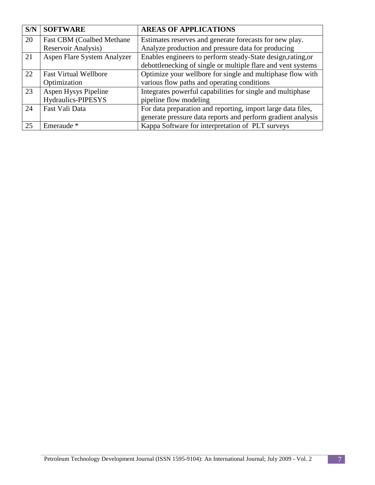| S/N | <b>SOFTWARE</b>                   | <b>AREAS OF APPLICATIONS</b>                                 |
|-----|-----------------------------------|--------------------------------------------------------------|
| 20  | <b>Fast CBM (Coalbed Methane)</b> | Estimates reserves and generate forecasts for new play.      |
|     | Reservoir Analysis)               | Analyze production and pressure data for producing           |
| 21  | Aspen Flare System Analyzer       | Enables engineers to perform steady-State design, rating, or |
|     |                                   | debottlenecking of single or multiple flare and vent systems |
| 22  | <b>Fast Virtual Wellbore</b>      | Optimize your wellbore for single and multiphase flow with   |
|     | Optimization                      | various flow paths and operating conditions                  |
| 23  | Aspen Hysys Pipeline              | Integrates powerful capabilities for single and multiphase   |
|     | Hydraulics-PIPESYS                | pipeline flow modeling                                       |
| 24  | Fast Vali Data                    | For data preparation and reporting, import large data files, |
|     |                                   | generate pressure data reports and perform gradient analysis |
| 25  | Emeraude <sup>*</sup>             | Kappa Software for interpretation of PLT surveys             |